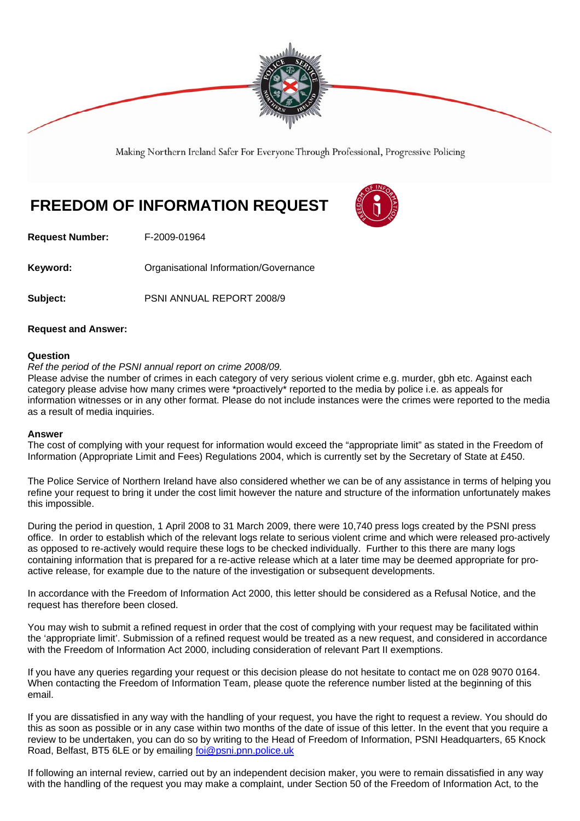

Making Northern Ireland Safer For Everyone Through Professional, Progressive Policing

## **FREEDOM OF INFORMATION REQUEST**



**Request Number:** F-2009-01964

**Keyword: Communistry Communistional Information/Governance** 

**Subject:** PSNI ANNUAL REPORT 2008/9

## **Request and Answer:**

## **Question**

*Ref the period of the PSNI annual report on crime 2008/09.*

Please advise the number of crimes in each category of very serious violent crime e.g. murder, gbh etc. Against each category please advise how many crimes were \*proactively\* reported to the media by police i.e. as appeals for information witnesses or in any other format. Please do not include instances were the crimes were reported to the media as a result of media inquiries.

## **Answer**

The cost of complying with your request for information would exceed the "appropriate limit" as stated in the Freedom of Information (Appropriate Limit and Fees) Regulations 2004, which is currently set by the Secretary of State at £450.

The Police Service of Northern Ireland have also considered whether we can be of any assistance in terms of helping you refine your request to bring it under the cost limit however the nature and structure of the information unfortunately makes this impossible.

During the period in question, 1 April 2008 to 31 March 2009, there were 10,740 press logs created by the PSNI press office. In order to establish which of the relevant logs relate to serious violent crime and which were released pro-actively as opposed to re-actively would require these logs to be checked individually. Further to this there are many logs containing information that is prepared for a re-active release which at a later time may be deemed appropriate for proactive release, for example due to the nature of the investigation or subsequent developments.

In accordance with the Freedom of Information Act 2000, this letter should be considered as a Refusal Notice, and the request has therefore been closed.

You may wish to submit a refined request in order that the cost of complying with your request may be facilitated within the 'appropriate limit'. Submission of a refined request would be treated as a new request, and considered in accordance with the Freedom of Information Act 2000, including consideration of relevant Part II exemptions.

If you have any queries regarding your request or this decision please do not hesitate to contact me on 028 9070 0164. When contacting the Freedom of Information Team, please quote the reference number listed at the beginning of this email.

If you are dissatisfied in any way with the handling of your request, you have the right to request a review. You should do this as soon as possible or in any case within two months of the date of issue of this letter. In the event that you require a review to be undertaken, you can do so by writing to the Head of Freedom of Information, PSNI Headquarters, 65 Knock Road, Belfast, BT5 6LE or by emailing foi@psni.pnn.police.uk

If following an internal review, carried out by an independent decision maker, you were to remain dissatisfied in any way with the handling of the request you may make a complaint, under Section 50 of the Freedom of Information Act, to the